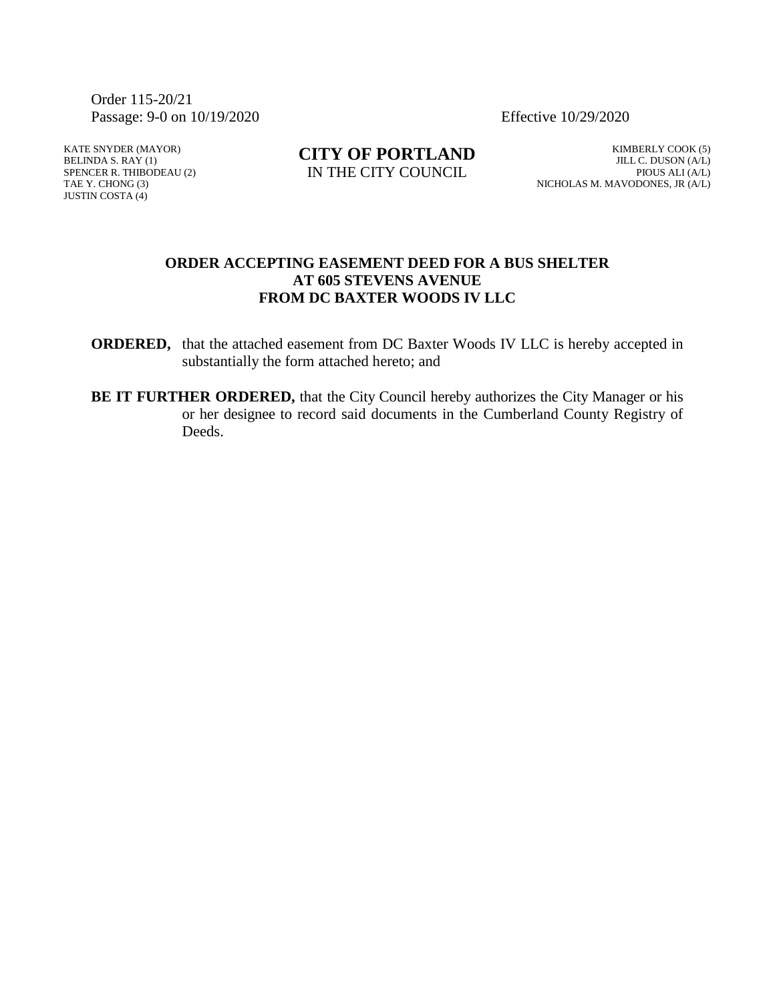Order 115-20/21 Passage: 9-0 on 10/19/2020 Effective 10/29/2020

KATE SNYDER (MAYOR) BELINDA S. RAY (1) SPENCER R. THIBODEAU (2) TAE Y. CHONG (3) JUSTIN COSTA (4)

**CITY OF PORTLAND** IN THE CITY COUNCIL

KIMBERLY COOK (5) JILL C. DUSON (A/L) PIOUS ALI (A/L) NICHOLAS M. MAVODONES, JR (A/L)

### **ORDER ACCEPTING EASEMENT DEED FOR A BUS SHELTER AT 605 STEVENS AVENUE FROM DC BAXTER WOODS IV LLC**

**ORDERED,** that the attached easement from DC Baxter Woods IV LLC is hereby accepted in substantially the form attached hereto; and

**BE IT FURTHER ORDERED,** that the City Council hereby authorizes the City Manager or his or her designee to record said documents in the Cumberland County Registry of Deeds.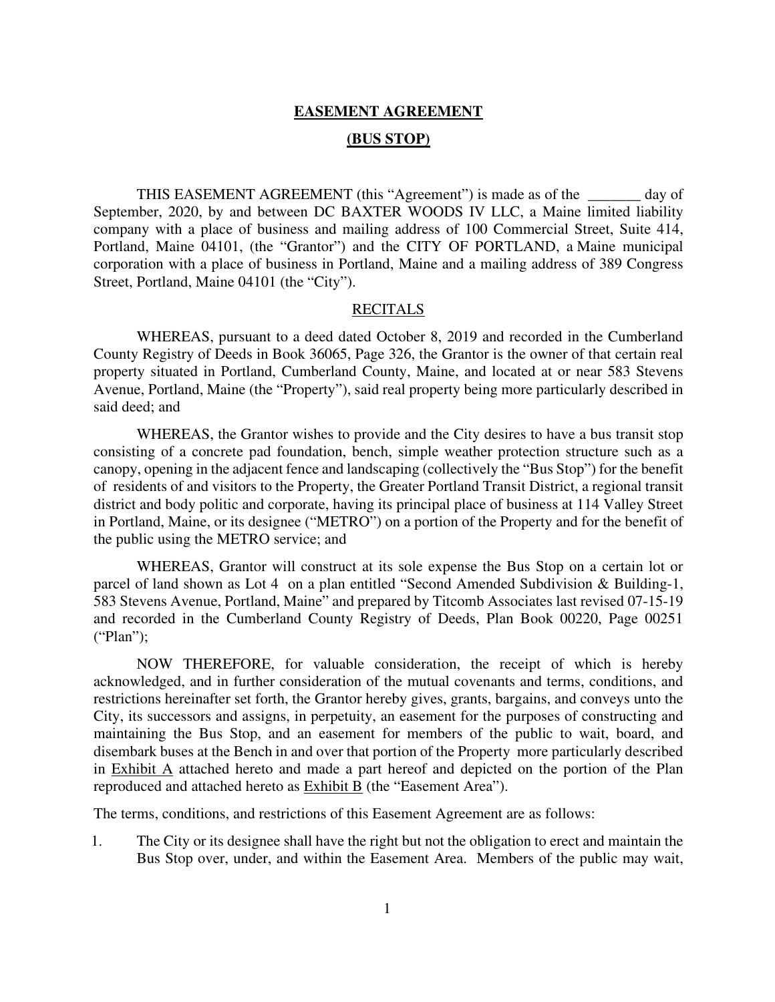# **EASEMENT AGREEMENT (BUS STOP)**

 THIS EASEMENT AGREEMENT (this "Agreement") is made as of the \_\_\_\_\_\_\_ day of September, 2020, by and between DC BAXTER WOODS IV LLC, a Maine limited liability company with a place of business and mailing address of 100 Commercial Street, Suite 414, Portland, Maine 04101, (the "Grantor") and the CITY OF PORTLAND, a Maine municipal corporation with a place of business in Portland, Maine and a mailing address of 389 Congress Street, Portland, Maine 04101 (the "City").

### RECITALS

 WHEREAS, pursuant to a deed dated October 8, 2019 and recorded in the Cumberland County Registry of Deeds in Book 36065, Page 326, the Grantor is the owner of that certain real property situated in Portland, Cumberland County, Maine, and located at or near 583 Stevens Avenue, Portland, Maine (the "Property"), said real property being more particularly described in said deed; and

 WHEREAS, the Grantor wishes to provide and the City desires to have a bus transit stop consisting of a concrete pad foundation, bench, simple weather protection structure such as a canopy, opening in the adjacent fence and landscaping (collectively the "Bus Stop") for the benefit of residents of and visitors to the Property, the Greater Portland Transit District, a regional transit district and body politic and corporate, having its principal place of business at 114 Valley Street in Portland, Maine, or its designee ("METRO") on a portion of the Property and for the benefit of the public using the METRO service; and

 WHEREAS, Grantor will construct at its sole expense the Bus Stop on a certain lot or parcel of land shown as Lot 4 on a plan entitled "Second Amended Subdivision & Building-1, 583 Stevens Avenue, Portland, Maine" and prepared by Titcomb Associates last revised 07-15-19 and recorded in the Cumberland County Registry of Deeds, Plan Book 00220, Page 00251 ("Plan");

 NOW THEREFORE, for valuable consideration, the receipt of which is hereby acknowledged, and in further consideration of the mutual covenants and terms, conditions, and restrictions hereinafter set forth, the Grantor hereby gives, grants, bargains, and conveys unto the City, its successors and assigns, in perpetuity, an easement for the purposes of constructing and maintaining the Bus Stop, and an easement for members of the public to wait, board, and disembark buses at the Bench in and over that portion of the Property more particularly described in Exhibit A attached hereto and made a part hereof and depicted on the portion of the Plan reproduced and attached hereto as **Exhibit B** (the "Easement Area").

The terms, conditions, and restrictions of this Easement Agreement are as follows:

1. The City or its designee shall have the right but not the obligation to erect and maintain the Bus Stop over, under, and within the Easement Area. Members of the public may wait,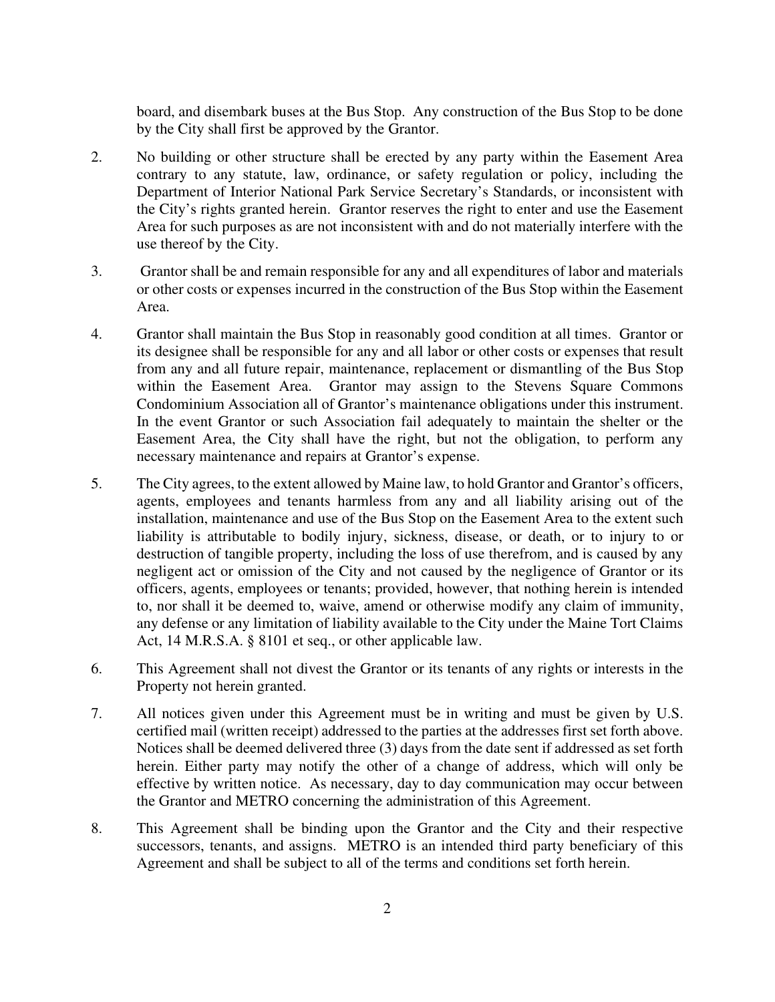board, and disembark buses at the Bus Stop. Any construction of the Bus Stop to be done by the City shall first be approved by the Grantor.

- 2. No building or other structure shall be erected by any party within the Easement Area contrary to any statute, law, ordinance, or safety regulation or policy, including the Department of Interior National Park Service Secretary's Standards, or inconsistent with the City's rights granted herein. Grantor reserves the right to enter and use the Easement Area for such purposes as are not inconsistent with and do not materially interfere with the use thereof by the City.
- 3. Grantor shall be and remain responsible for any and all expenditures of labor and materials or other costs or expenses incurred in the construction of the Bus Stop within the Easement Area.
- 4. Grantor shall maintain the Bus Stop in reasonably good condition at all times. Grantor or its designee shall be responsible for any and all labor or other costs or expenses that result from any and all future repair, maintenance, replacement or dismantling of the Bus Stop within the Easement Area. Grantor may assign to the Stevens Square Commons Condominium Association all of Grantor's maintenance obligations under this instrument. In the event Grantor or such Association fail adequately to maintain the shelter or the Easement Area, the City shall have the right, but not the obligation, to perform any necessary maintenance and repairs at Grantor's expense.
- 5. The City agrees, to the extent allowed by Maine law, to hold Grantor and Grantor's officers, agents, employees and tenants harmless from any and all liability arising out of the installation, maintenance and use of the Bus Stop on the Easement Area to the extent such liability is attributable to bodily injury, sickness, disease, or death, or to injury to or destruction of tangible property, including the loss of use therefrom, and is caused by any negligent act or omission of the City and not caused by the negligence of Grantor or its officers, agents, employees or tenants; provided, however, that nothing herein is intended to, nor shall it be deemed to, waive, amend or otherwise modify any claim of immunity, any defense or any limitation of liability available to the City under the Maine Tort Claims Act, 14 M.R.S.A. § 8101 et seq., or other applicable law.
- 6. This Agreement shall not divest the Grantor or its tenants of any rights or interests in the Property not herein granted.
- 7. All notices given under this Agreement must be in writing and must be given by U.S. certified mail (written receipt) addressed to the parties at the addresses first set forth above. Notices shall be deemed delivered three (3) days from the date sent if addressed as set forth herein. Either party may notify the other of a change of address, which will only be effective by written notice. As necessary, day to day communication may occur between the Grantor and METRO concerning the administration of this Agreement.
- 8. This Agreement shall be binding upon the Grantor and the City and their respective successors, tenants, and assigns. METRO is an intended third party beneficiary of this Agreement and shall be subject to all of the terms and conditions set forth herein.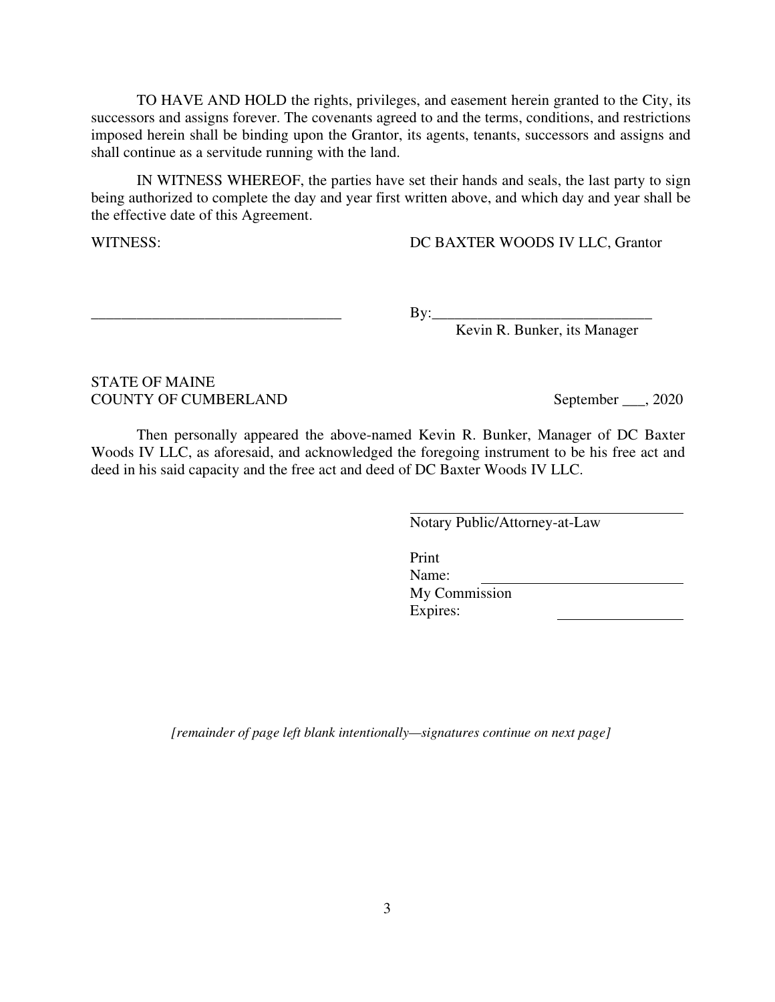TO HAVE AND HOLD the rights, privileges, and easement herein granted to the City, its successors and assigns forever. The covenants agreed to and the terms, conditions, and restrictions imposed herein shall be binding upon the Grantor, its agents, tenants, successors and assigns and shall continue as a servitude running with the land.

 IN WITNESS WHEREOF, the parties have set their hands and seals, the last party to sign being authorized to complete the day and year first written above, and which day and year shall be the effective date of this Agreement.

WITNESS: DC BAXTER WOODS IV LLC, Grantor

\_\_\_\_\_\_\_\_\_\_\_\_\_\_\_\_\_\_\_\_\_\_\_\_\_\_\_\_\_\_\_\_\_ By:\_\_\_\_\_\_\_\_\_\_\_\_\_\_\_\_\_\_\_\_\_\_\_\_\_\_\_\_\_

Kevin R. Bunker, its Manager

### STATE OF MAINE COUNTY OF CUMBERLAND September 2020

 Then personally appeared the above-named Kevin R. Bunker, Manager of DC Baxter Woods IV LLC, as aforesaid, and acknowledged the foregoing instrument to be his free act and deed in his said capacity and the free act and deed of DC Baxter Woods IV LLC.

Notary Public/Attorney-at-Law

Print Name: My Commission Expires:

*[remainder of page left blank intentionally—signatures continue on next page]*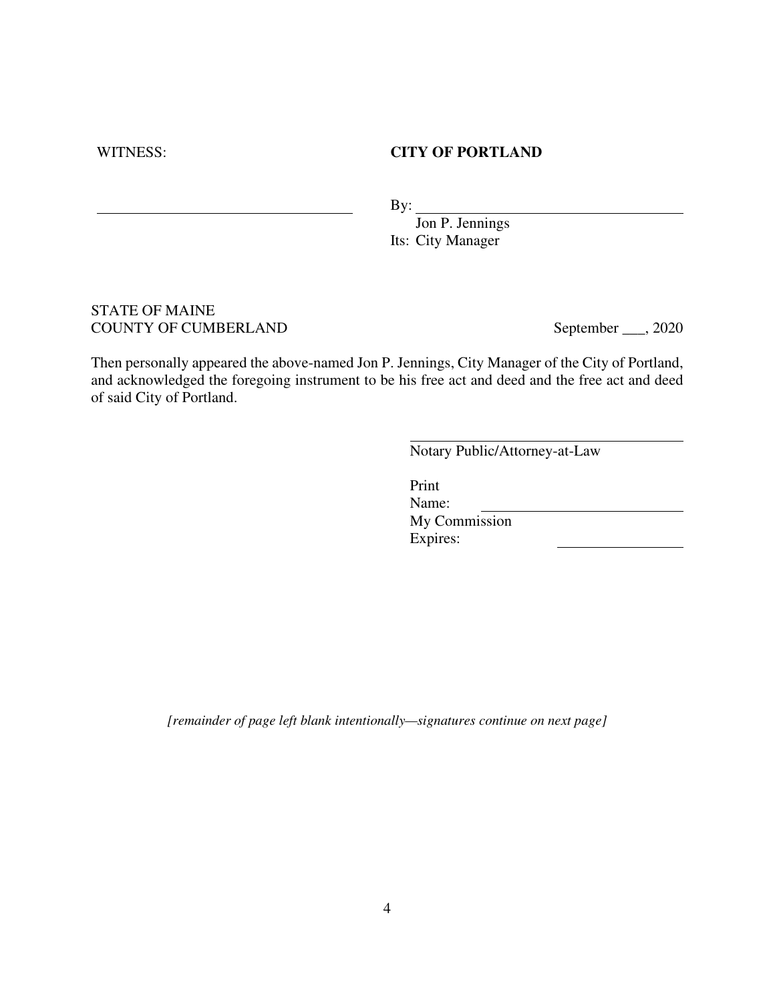### WITNESS: **CITY OF PORTLAND**

By:

Jon P. Jennings Its: City Manager

### STATE OF MAINE COUNTY OF CUMBERLAND September 2020

Then personally appeared the above-named Jon P. Jennings, City Manager of the City of Portland, and acknowledged the foregoing instrument to be his free act and deed and the free act and deed of said City of Portland.

Notary Public/Attorney-at-Law

Print Name: My Commission Expires:

*[remainder of page left blank intentionally—signatures continue on next page]*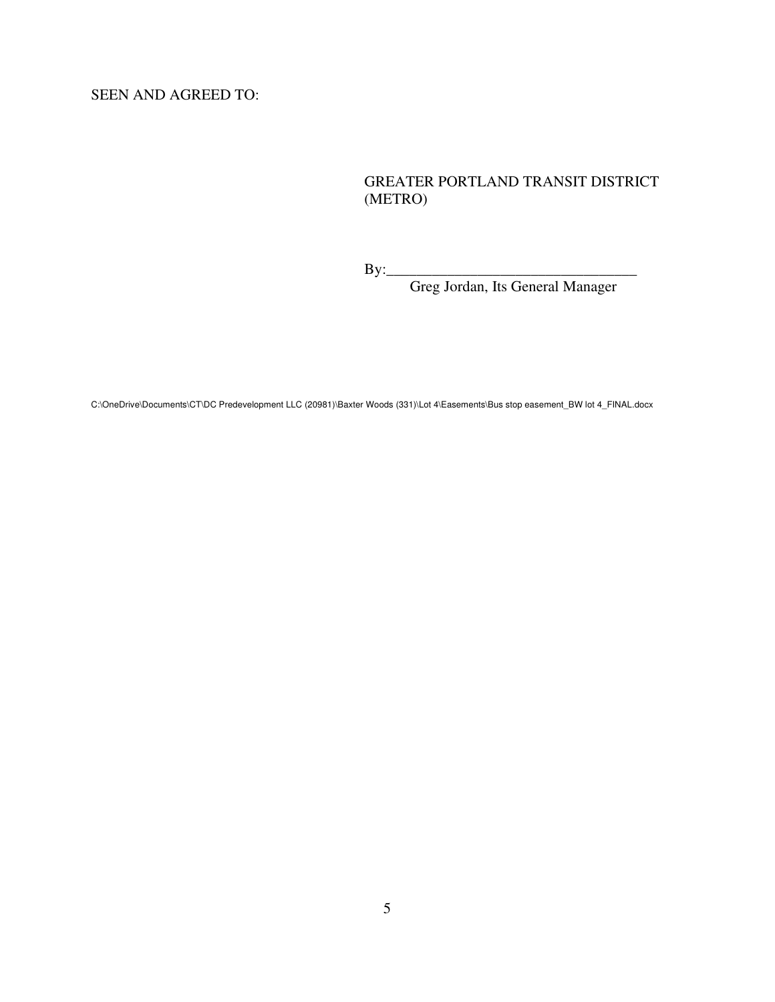SEEN AND AGREED TO:

## GREATER PORTLAND TRANSIT DISTRICT (METRO)

By:\_\_\_\_\_\_\_\_\_\_\_\_\_\_\_\_\_\_\_\_\_\_\_\_\_\_\_\_\_\_\_\_\_

Greg Jordan, Its General Manager

C:\OneDrive\Documents\CT\DC Predevelopment LLC (20981)\Baxter Woods (331)\Lot 4\Easements\Bus stop easement\_BW lot 4\_FINAL.docx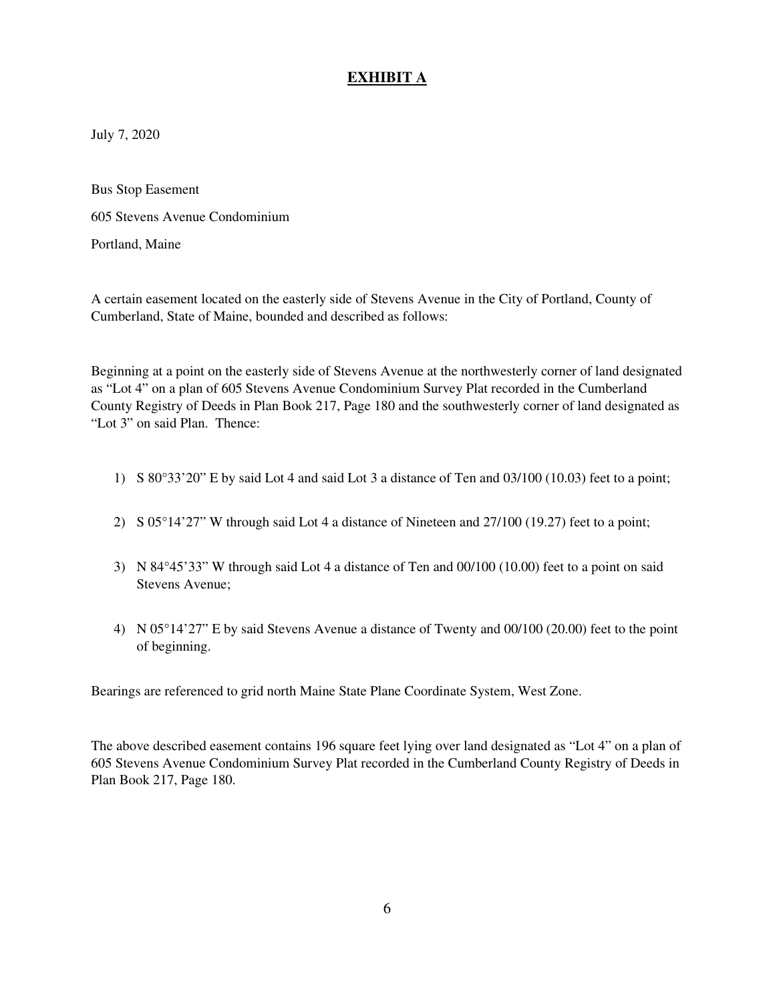## **EXHIBIT A**

July 7, 2020

Bus Stop Easement 605 Stevens Avenue Condominium Portland, Maine

A certain easement located on the easterly side of Stevens Avenue in the City of Portland, County of Cumberland, State of Maine, bounded and described as follows:

Beginning at a point on the easterly side of Stevens Avenue at the northwesterly corner of land designated as "Lot 4" on a plan of 605 Stevens Avenue Condominium Survey Plat recorded in the Cumberland County Registry of Deeds in Plan Book 217, Page 180 and the southwesterly corner of land designated as "Lot 3" on said Plan. Thence:

- 1) S 80°33'20" E by said Lot 4 and said Lot 3 a distance of Ten and 03/100 (10.03) feet to a point;
- 2) S 05°14'27" W through said Lot 4 a distance of Nineteen and 27/100 (19.27) feet to a point;
- 3) N 84°45'33" W through said Lot 4 a distance of Ten and 00/100 (10.00) feet to a point on said Stevens Avenue;
- 4) N 05°14'27" E by said Stevens Avenue a distance of Twenty and 00/100 (20.00) feet to the point of beginning.

Bearings are referenced to grid north Maine State Plane Coordinate System, West Zone.

The above described easement contains 196 square feet lying over land designated as "Lot 4" on a plan of 605 Stevens Avenue Condominium Survey Plat recorded in the Cumberland County Registry of Deeds in Plan Book 217, Page 180.